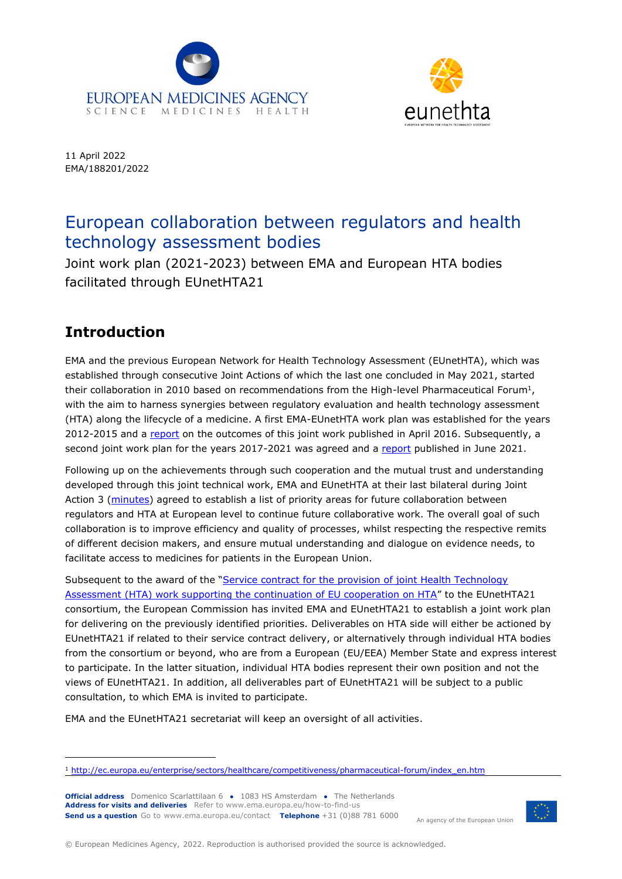



11 April 2022 EMA/188201/2022

## European collaboration between regulators and health technology assessment bodies

Joint work plan (2021-2023) between EMA and European HTA bodies facilitated through EUnetHTA21

## **Introduction**

EMA and the previous European Network for Health Technology Assessment (EUnetHTA), which was established through consecutive Joint Actions of which the last one concluded in May 2021, started their collaboration in 2010 based on recommendations from the High-level Pharmaceutical Forum<sup>1</sup>, with the aim to harness synergies between regulatory evaluation and health technology assessment (HTA) along the lifecycle of a medicine. A first EMA-EUnetHTA work plan was established for the years 2012-2015 and a [report](http://www.ema.europa.eu/docs/en_GB/document_library/Report/2016/04/WC500204828.pdf) on the outcomes of this joint work published in April 2016. Subsequently, a second joint work plan for the years 2017-2021 was agreed and a [report](https://www.ema.europa.eu/en/documents/report/report-implementation-ema-eunethta-work-plan-2017-2021_en.pdf) published in June 2021.

Following up on the achievements through such cooperation and the mutual trust and understanding developed through this joint technical work, EMA and EUnetHTA at their last bilateral during Joint Action 3 [\(minutes\)](https://www.ema.europa.eu/en/documents/minutes/minutes-european-medicines-agency/european-network-health-technology-assessment-meeting-april-2021_en.pdf) agreed to establish a list of priority areas for future collaboration between regulators and HTA at European level to continue future collaborative work. The overall goal of such collaboration is to improve efficiency and quality of processes, whilst respecting the respective remits of different decision makers, and ensure mutual understanding and dialogue on evidence needs, to facilitate access to medicines for patients in the European Union.

Subsequent to the award of the "Service contract for the provision of joint Health Technology [Assessment \(HTA\) work supporting the continuation of EU cooperation on HTA](https://ted.europa.eu/udl?uri=TED:NOTICE:490424-2021:TEXT:EN:HTML)" to the EUnetHTA21 consortium, the European Commission has invited EMA and EUnetHTA21 to establish a joint work plan for delivering on the previously identified priorities. Deliverables on HTA side will either be actioned by EUnetHTA21 if related to their service contract delivery, or alternatively through individual HTA bodies from the consortium or beyond, who are from a European (EU/EEA) Member State and express interest to participate. In the latter situation, individual HTA bodies represent their own position and not the views of EUnetHTA21. In addition, all deliverables part of EUnetHTA21 will be subject to a public consultation, to which EMA is invited to participate.

EMA and the EUnetHTA21 secretariat will keep an oversight of all activities.

**Official address** Domenico Scarlattilaan 6 **●** 1083 HS Amsterdam **●** The Netherlands **Address for visits and deliveries** Refer to www.ema.europa.eu/how-to-find-us **Send us a question** Go to www.ema.europa.eu/contact **Telephone** +31 (0)88 781 6000

An agency of the European Union



<sup>1</sup> [http://ec.europa.eu/enterprise/sectors/healthcare/competitiveness/pharmaceutical-forum/index\\_en.htm](http://ec.europa.eu/enterprise/sectors/healthcare/competitiveness/pharmaceutical-forum/index_en.htm)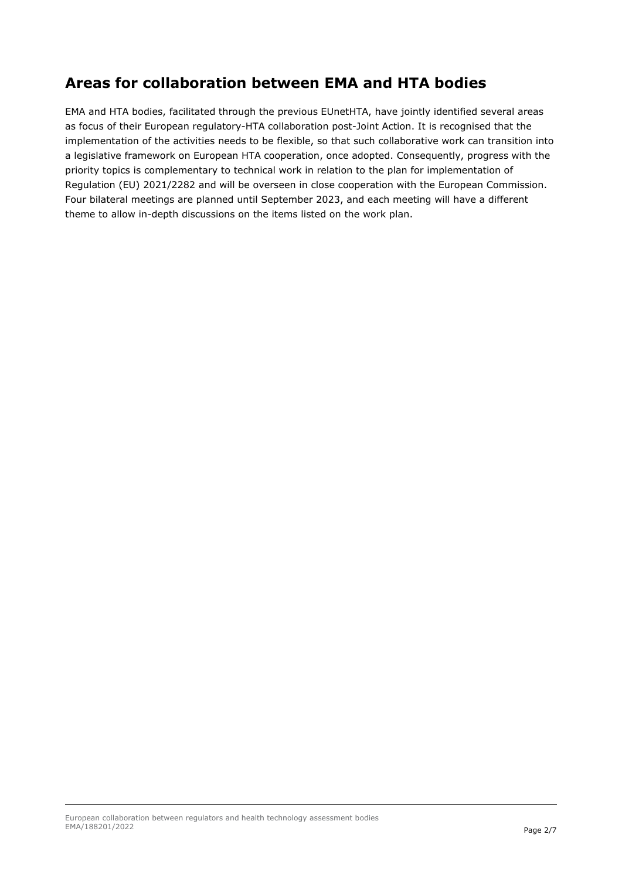## **Areas for collaboration between EMA and HTA bodies**

EMA and HTA bodies, facilitated through the previous EUnetHTA, have jointly identified several areas as focus of their European regulatory-HTA collaboration post-Joint Action. It is recognised that the implementation of the activities needs to be flexible, so that such collaborative work can transition into a legislative framework on European HTA cooperation, once adopted. Consequently, progress with the priority topics is complementary to technical work in relation to the plan for implementation of Regulation (EU) 2021/2282 and will be overseen in close cooperation with the European Commission. Four bilateral meetings are planned until September 2023, and each meeting will have a different theme to allow in-depth discussions on the items listed on the work plan.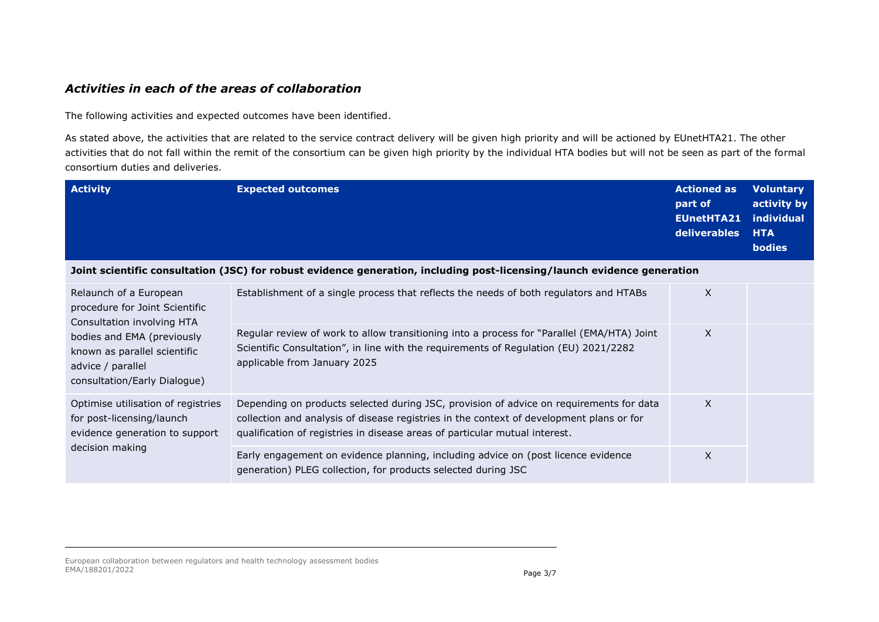## *Activities in each of the areas of collaboration*

The following activities and expected outcomes have been identified.

As stated above, the activities that are related to the service contract delivery will be given high priority and will be actioned by EUnetHTA21. The other activities that do not fall within the remit of the consortium can be given high priority by the individual HTA bodies but will not be seen as part of the formal consortium duties and deliveries.

| <b>Activity</b>                                                                                                                                                                                           | <b>Expected outcomes</b>                                                                                                                                                                                                                                           | <b>Actioned as</b><br>part of<br><b>EUnetHTA21</b><br>deliverables | <b>Voluntary</b><br>activity by<br>individual<br><b>HTA</b><br><b>bodies</b> |
|-----------------------------------------------------------------------------------------------------------------------------------------------------------------------------------------------------------|--------------------------------------------------------------------------------------------------------------------------------------------------------------------------------------------------------------------------------------------------------------------|--------------------------------------------------------------------|------------------------------------------------------------------------------|
| Joint scientific consultation (JSC) for robust evidence generation, including post-licensing/launch evidence generation                                                                                   |                                                                                                                                                                                                                                                                    |                                                                    |                                                                              |
| Relaunch of a European<br>procedure for Joint Scientific<br>Consultation involving HTA<br>bodies and EMA (previously<br>known as parallel scientific<br>advice / parallel<br>consultation/Early Dialogue) | Establishment of a single process that reflects the needs of both regulators and HTABs                                                                                                                                                                             | X                                                                  |                                                                              |
|                                                                                                                                                                                                           | Regular review of work to allow transitioning into a process for "Parallel (EMA/HTA) Joint<br>Scientific Consultation", in line with the requirements of Regulation (EU) 2021/2282<br>applicable from January 2025                                                 | X                                                                  |                                                                              |
| Optimise utilisation of registries<br>for post-licensing/launch<br>evidence generation to support<br>decision making                                                                                      | Depending on products selected during JSC, provision of advice on requirements for data<br>collection and analysis of disease registries in the context of development plans or for<br>qualification of registries in disease areas of particular mutual interest. | X                                                                  |                                                                              |
|                                                                                                                                                                                                           | Early engagement on evidence planning, including advice on (post licence evidence<br>generation) PLEG collection, for products selected during JSC                                                                                                                 | $\times$                                                           |                                                                              |

European collaboration between regulators and health technology assessment bodies EMA/188201/2022 Page 3/7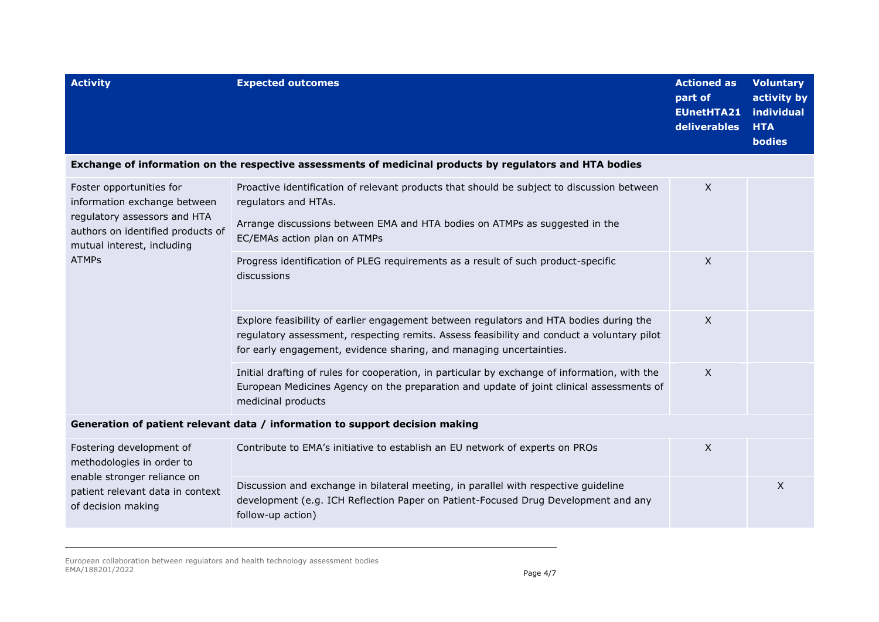| <b>Activity</b>                                                                                                                                                             | <b>Expected outcomes</b>                                                                                                                                                                                                                                    | <b>Actioned as</b><br>part of<br><b>EUnetHTA21</b><br>deliverables | <b>Voluntary</b><br>activity by<br>individual<br><b>HTA</b><br>bodies |
|-----------------------------------------------------------------------------------------------------------------------------------------------------------------------------|-------------------------------------------------------------------------------------------------------------------------------------------------------------------------------------------------------------------------------------------------------------|--------------------------------------------------------------------|-----------------------------------------------------------------------|
|                                                                                                                                                                             | Exchange of information on the respective assessments of medicinal products by regulators and HTA bodies                                                                                                                                                    |                                                                    |                                                                       |
| Foster opportunities for<br>information exchange between<br>regulatory assessors and HTA<br>authors on identified products of<br>mutual interest, including<br><b>ATMPs</b> | Proactive identification of relevant products that should be subject to discussion between<br>regulators and HTAs.                                                                                                                                          | X                                                                  |                                                                       |
|                                                                                                                                                                             | Arrange discussions between EMA and HTA bodies on ATMPs as suggested in the<br>EC/EMAs action plan on ATMPs                                                                                                                                                 |                                                                    |                                                                       |
|                                                                                                                                                                             | Progress identification of PLEG requirements as a result of such product-specific<br>discussions                                                                                                                                                            | X                                                                  |                                                                       |
|                                                                                                                                                                             | Explore feasibility of earlier engagement between regulators and HTA bodies during the<br>regulatory assessment, respecting remits. Assess feasibility and conduct a voluntary pilot<br>for early engagement, evidence sharing, and managing uncertainties. | X                                                                  |                                                                       |
|                                                                                                                                                                             | Initial drafting of rules for cooperation, in particular by exchange of information, with the<br>European Medicines Agency on the preparation and update of joint clinical assessments of<br>medicinal products                                             | $\mathsf{X}$                                                       |                                                                       |
| Generation of patient relevant data / information to support decision making                                                                                                |                                                                                                                                                                                                                                                             |                                                                    |                                                                       |
| Fostering development of<br>methodologies in order to<br>enable stronger reliance on<br>patient relevant data in context<br>of decision making                              | Contribute to EMA's initiative to establish an EU network of experts on PROs                                                                                                                                                                                | X                                                                  |                                                                       |
|                                                                                                                                                                             | Discussion and exchange in bilateral meeting, in parallel with respective guideline<br>development (e.g. ICH Reflection Paper on Patient-Focused Drug Development and any<br>follow-up action)                                                              |                                                                    | X                                                                     |

European collaboration between regulators and health technology assessment bodies EMA/188201/2022 **Page 4/7**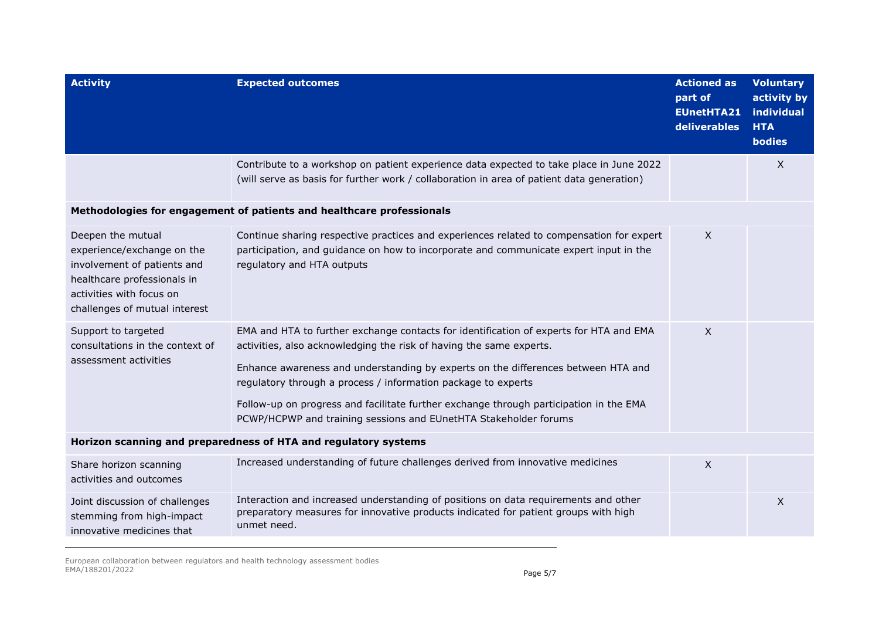| <b>Activity</b>                                                                                                                                                            | <b>Expected outcomes</b>                                                                                                                                                                                                                                                                                                                                                                                                                                                          | <b>Actioned as</b><br>part of<br><b>EUnetHTA21</b><br>deliverables | <b>Voluntary</b><br>activity by<br>individual<br><b>HTA</b><br>bodies |
|----------------------------------------------------------------------------------------------------------------------------------------------------------------------------|-----------------------------------------------------------------------------------------------------------------------------------------------------------------------------------------------------------------------------------------------------------------------------------------------------------------------------------------------------------------------------------------------------------------------------------------------------------------------------------|--------------------------------------------------------------------|-----------------------------------------------------------------------|
|                                                                                                                                                                            | Contribute to a workshop on patient experience data expected to take place in June 2022<br>(will serve as basis for further work / collaboration in area of patient data generation)                                                                                                                                                                                                                                                                                              |                                                                    | X                                                                     |
| Methodologies for engagement of patients and healthcare professionals                                                                                                      |                                                                                                                                                                                                                                                                                                                                                                                                                                                                                   |                                                                    |                                                                       |
| Deepen the mutual<br>experience/exchange on the<br>involvement of patients and<br>healthcare professionals in<br>activities with focus on<br>challenges of mutual interest | Continue sharing respective practices and experiences related to compensation for expert<br>participation, and guidance on how to incorporate and communicate expert input in the<br>regulatory and HTA outputs                                                                                                                                                                                                                                                                   | X                                                                  |                                                                       |
| Support to targeted<br>consultations in the context of<br>assessment activities                                                                                            | EMA and HTA to further exchange contacts for identification of experts for HTA and EMA<br>activities, also acknowledging the risk of having the same experts.<br>Enhance awareness and understanding by experts on the differences between HTA and<br>regulatory through a process / information package to experts<br>Follow-up on progress and facilitate further exchange through participation in the EMA<br>PCWP/HCPWP and training sessions and EUnetHTA Stakeholder forums | $\mathsf{X}$                                                       |                                                                       |
| Horizon scanning and preparedness of HTA and regulatory systems                                                                                                            |                                                                                                                                                                                                                                                                                                                                                                                                                                                                                   |                                                                    |                                                                       |
| Share horizon scanning<br>activities and outcomes                                                                                                                          | Increased understanding of future challenges derived from innovative medicines                                                                                                                                                                                                                                                                                                                                                                                                    | $\mathsf{X}$                                                       |                                                                       |
| Joint discussion of challenges<br>stemming from high-impact<br>innovative medicines that                                                                                   | Interaction and increased understanding of positions on data requirements and other<br>preparatory measures for innovative products indicated for patient groups with high<br>unmet need.                                                                                                                                                                                                                                                                                         |                                                                    | X                                                                     |

European collaboration between regulators and health technology assessment bodies EMA/188201/2022 Page 5/7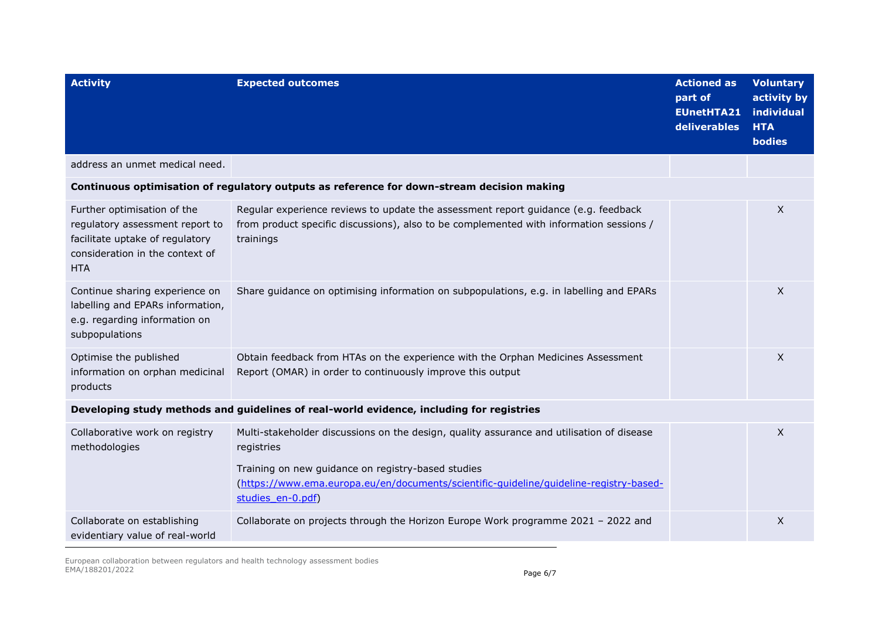| <b>Activity</b>                                                                                                                                    | <b>Expected outcomes</b>                                                                                                                                                                                                                                | <b>Actioned as</b><br>part of<br><b>EUnetHTA21</b><br>deliverables | <b>Voluntary</b><br>activity by<br>individual<br><b>HTA</b><br><b>bodies</b> |
|----------------------------------------------------------------------------------------------------------------------------------------------------|---------------------------------------------------------------------------------------------------------------------------------------------------------------------------------------------------------------------------------------------------------|--------------------------------------------------------------------|------------------------------------------------------------------------------|
| address an unmet medical need.                                                                                                                     |                                                                                                                                                                                                                                                         |                                                                    |                                                                              |
|                                                                                                                                                    | Continuous optimisation of regulatory outputs as reference for down-stream decision making                                                                                                                                                              |                                                                    |                                                                              |
| Further optimisation of the<br>regulatory assessment report to<br>facilitate uptake of regulatory<br>consideration in the context of<br><b>HTA</b> | Regular experience reviews to update the assessment report guidance (e.g. feedback<br>from product specific discussions), also to be complemented with information sessions /<br>trainings                                                              |                                                                    | $\times$                                                                     |
| Continue sharing experience on<br>labelling and EPARs information,<br>e.g. regarding information on<br>subpopulations                              | Share guidance on optimising information on subpopulations, e.g. in labelling and EPARs                                                                                                                                                                 |                                                                    | X                                                                            |
| Optimise the published<br>information on orphan medicinal<br>products                                                                              | Obtain feedback from HTAs on the experience with the Orphan Medicines Assessment<br>Report (OMAR) in order to continuously improve this output                                                                                                          |                                                                    | X                                                                            |
| Developing study methods and guidelines of real-world evidence, including for registries                                                           |                                                                                                                                                                                                                                                         |                                                                    |                                                                              |
| Collaborative work on registry<br>methodologies                                                                                                    | Multi-stakeholder discussions on the design, quality assurance and utilisation of disease<br>registries<br>Training on new guidance on registry-based studies<br>(https://www.ema.europa.eu/en/documents/scientific-quideline/quideline-reqistry-based- |                                                                    | $\mathsf{X}$                                                                 |
|                                                                                                                                                    | studies en-0.pdf)                                                                                                                                                                                                                                       |                                                                    |                                                                              |
| Collaborate on establishing<br>evidentiary value of real-world                                                                                     | Collaborate on projects through the Horizon Europe Work programme 2021 - 2022 and                                                                                                                                                                       |                                                                    | X                                                                            |

European collaboration between regulators and health technology assessment bodies EMA/188201/2022 Page 6/7